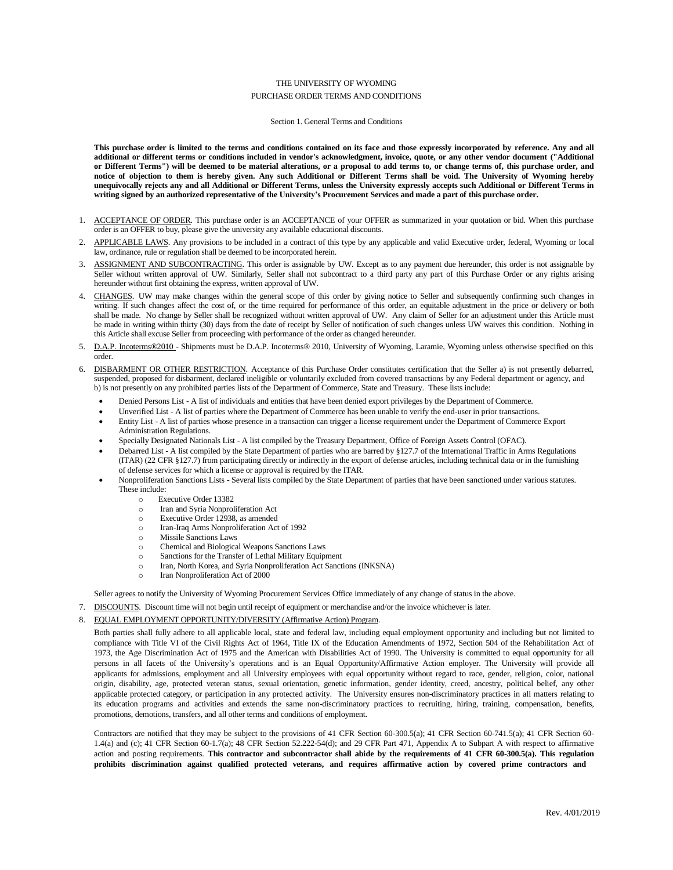### THE UNIVERSITY OF WYOMING PURCHASE ORDER TERMS AND CONDITIONS

#### Section 1. General Terms and Conditions

This purchase order is limited to the terms and conditions contained on its face and those expressly incorporated by reference. Any and all additional or different terms or conditions included in vendor's acknowledgment, invoice, quote, or any other vendor document ("Additional or Different Terms") will be deemed to be material alterations, or a proposal to add terms to, or change terms of, this purchase order, and notice of objection to them is hereby given. Any such Additional or Different Terms shall be void. The University of Wyoming hereby unequivocally rejects any and all Additional or Different Terms, unless the University expressly accepts such Additional or Different Terms in writing signed by an authorized representative of the University's Procurement Services and made a part of this purchase order.

- 1. ACCEPTANCE OF ORDER. This purchase order is an ACCEPTANCE of your OFFER as summarized in your quotation or bid. When this purchase order is an OFFER to buy, please give the university any available educational discounts.
- APPLICABLE LAWS. Any provisions to be included in a contract of this type by any applicable and valid Executive order, federal, Wyoming or local law, ordinance, rule or regulation shall be deemed to be incorporated herein.
- 3. ASSIGNMENT AND SUBCONTRACTING. This order is assignable by UW. Except as to any payment due hereunder, this order is not assignable by Seller without written approval of UW. Similarly, Seller shall not subcontract to a third party any part of this Purchase Order or any rights arising hereunder without first obtaining the express, written approval of UW.
- 4. CHANGES. UW may make changes within the general scope of this order by giving notice to Seller and subsequently confirming such changes in writing. If such changes affect the cost of, or the time required for performance of this order, an equitable adjustment in the price or delivery or both shall be made. No change by Seller shall be recognized without written approval of UW. Any claim of Seller for an adjustment under this Article must be made in writing within thirty (30) days from the date of receipt by Seller of notification of such changes unless UW waives this condition. Nothing in this Article shall excuse Seller from proceeding with performance of the order as changed hereunder.
- 5. D.A.P. Incoterms®2010 Shipments must be D.A.P. Incoterms® 2010, University of Wyoming, Laramie, Wyoming unless otherwise specified on this order.
- 6. DISBARMENT OR OTHER RESTRICTION. Acceptance of this Purchase Order constitutes certification that the Seller a) is not presently debarred, suspended, proposed for disbarment, declared ineligible or voluntarily excluded from covered transactions by any Federal department or agency, and b) is not presently on any prohibited parties lists of the Department of Commerce, State and Treasury. These lists include:
	- Denied Persons List A list of individuals and entities that have been denied export privileges by the Department of Commerce.
	- Unverified List A list of parties where the Department of Commerce has been unable to verify the end-user in prior transactions.
	- Entity List A list of parties whose presence in a transaction can trigger a license requirement under the Department of Commerce Export Administration Regulations.
	- Specially Designated Nationals List A list compiled by the Treasury Department, Office of Foreign Assets Control (OFAC).
	- Debarred List A list compiled by the State Department of parties who are barred by §127.7 of the International Traffic in Arms Regulations (ITAR) (22 CFR §127.7) from participating directly or indirectly in the export of defense articles, including technical data or in the furnishing of defense services for which a license or approval is required by the ITAR.
	- Nonproliferation Sanctions Lists Several lists compiled by the State Department of parties that have been sanctioned under various statutes. These include:
		- o Executive Order 13382
		- o Iran and Syria Nonproliferation Act
		- o Executive Order 12938, as amended
		- o Iran-Iraq Arms Nonproliferation Act of 1992
		- o Missile Sanctions Laws
		- o Chemical and Biological Weapons Sanctions Laws
		- o Sanctions for the Transfer of Lethal Military Equipment
		- o Iran, North Korea, and Syria Nonproliferation Act Sanctions (INKSNA)
		- o Iran Nonproliferation Act of 2000

Seller agrees to notify the University of Wyoming Procurement Services Office immediately of any change of status in the above.

- 7. DISCOUNTS. Discount time will not begin until receipt of equipment or merchandise and/or the invoice whichever is later.
- 8. EQUAL EMPLOYMENT OPPORTUNITY/DIVERSITY (Affirmative Action) Program.

Both parties shall fully adhere to all applicable local, state and federal law, including equal employment opportunity and including but not limited to compliance with Title VI of the Civil Rights Act of 1964, Title IX of the Education Amendments of 1972, Section 504 of the Rehabilitation Act of 1973, the Age Discrimination Act of 1975 and the American with Disabilities Act of 1990. The University is committed to equal opportunity for all persons in all facets of the University's operations and is an Equal Opportunity/Affirmative Action employer. The University will provide all applicants for admissions, employment and all University employees with equal opportunity without regard to race, gender, religion, color, national origin, disability, age, protected veteran status, sexual orientation, genetic information, gender identity, creed, ancestry, political belief, any other applicable protected category, or participation in any protected activity. The University ensures non-discriminatory practices in all matters relating to its education programs and activities and extends the same non-discriminatory practices to recruiting, hiring, training, compensation, benefits, promotions, demotions, transfers, and all other terms and conditions of employment.

Contractors are notified that they may be subject to the provisions of 41 CFR Section 60-300.5(a); 41 CFR Section 60-741.5(a); 41 CFR Section 60- 1.4(a) and (c); 41 CFR Section 60-1.7(a); 48 CFR Section 52.222-54(d); and 29 CFR Part 471, Appendix A to Subpart A with respect to affirmative action and posting requirements. This contractor and subcontractor shall abide by the requirements of 41 CFR 60-300.5(a). This regulation prohibits discrimination against qualified protected veterans, and requires affirmative action by covered prime contractors and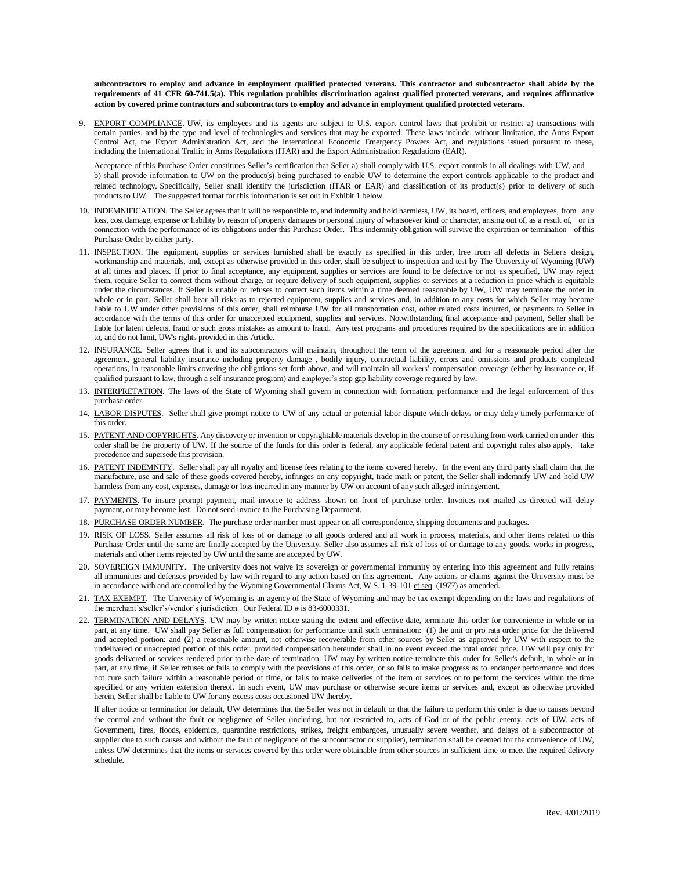subcontractors to employ and advance in employment qualified protected veterans. This contractor and subcontractor shall abide by the requirements of 41 CFR 60-741.5(a). This regulation prohibits discrimination against qualified protected veterans, and requires affirmative action by covered prime contractors and subcontractors to employ and advance in employment qualified protected veterans.

9. EXPORT COMPLIANCE. UW, its employees and its agents are subject to U.S. export control laws that prohibit or restrict a) transactions with certain parties, and b) the type and level of technologies and services that may be exported. These laws include, without limitation, the Arms Export Control Act, the Export Administration Act, and the International Economic Emergency Powers Act, and regulations issued pursuant to these, including the International Traffic in Arms Regulations (ITAR) and the Export Administration Regulations (EAR).

Acceptance of this Purchase Order constitutes Seller's certification that Seller a) shall comply with U.S. export controls in all dealings with UW, and b) shall provide information to UW on the product(s) being purchased to enable UW to determine the export controls applicable to the product and related technology. Specifically, Seller shall identify the jurisdiction (ITAR or EAR) and classification of its product(s) prior to delivery of such products to UW. The suggested format for this information is set out in Exhibit 1 below.

- 10. INDEMNIFICATION. The Seller agrees that it will be responsible to, and indemnify and hold harmless, UW, its board, officers, and employees, from any loss, cost damage, expense or liability by reason of property damages or personal injury of whatsoever kind or character, arising out of, as a result of, or in connection with the performance of its obligations under this Purchase Order. This indemnity obligation will survive the expiration or termination of this Purchase Order by either party.
- 11. INSPECTION. The equipment, supplies or services furnished shall be exactly as specified in this order, free from all defects in Seller's design, workmanship and materials, and, except as otherwise provided in this order, shall be subject to inspection and test by The University of Wyoming (UW) at all times and places. If prior to final acceptance, any equipment, supplies or services are found to be defective or not as specified, UW may reject them, require Seller to correct them without charge, or require delivery of such equipment, supplies or services at a reduction in price which is equitable under the circumstances. If Seller is unable or refuses to correct such items within a time deemed reasonable by UW, UW may terminate the order in whole or in part. Seller shall bear all risks as to rejected equipment, supplies and services and, in addition to any costs for which Seller may become liable to UW under other provisions of this order, shall reimburse UW for all transportation cost, other related costs incurred, or payments to Seller in accordance with the terms of this order for unaccepted equipment, supplies and services. Notwithstanding final acceptance and payment, Seller shall be liable for latent defects, fraud or such gross mistakes as amount to fraud. Any test programs and procedures required by the specifications are in addition to, and do not limit, UW's rights provided in this Article.
- 12. INSURANCE. Seller agrees that it and its subcontractors will maintain, throughout the term of the agreement and for a reasonable period after the agreement, general liability insurance including property damage , bodily injury, contractual liability, errors and omissions and products completed operations, in reasonable limits covering the obligations set forth above, and will maintain all workers' compensation coverage (either by insurance or, if qualified pursuant to law, through a self-insurance program) and employer's stop gap liability coverage required by law.
- 13. INTERPRETATION. The laws of the State of Wyoming shall govern in connection with formation, performance and the legal enforcement of this purchase order.
- 14. LABOR DISPUTES. Seller shall give prompt notice to UW of any actual or potential labor dispute which delays or may delay timely performance of this order.
- 15. PATENT AND COPYRIGHTS. Any discovery or invention or copyrightable materials develop in the course of or resulting from work carried on under this order shall be the property of UW. If the source of the funds for this order is federal, any applicable federal patent and copyright rules also apply, take precedence and supersede this provision.
- 16. PATENT INDEMNITY. Seller shall pay all royalty and license fees relating to the items covered hereby. In the event any third party shall claim that the manufacture, use and sale of these goods covered hereby, infringes on any copyright, trade mark or patent, the Seller shall indemnify UW and hold UW harmless from any cost, expenses, damage or loss incurred in any manner by UW on account of any such alleged infringement.
- 17. PAYMENTS. To insure prompt payment, mail invoice to address shown on front of purchase order. Invoices not mailed as directed will delay payment, or may become lost. Do not send invoice to the Purchasing Department.
- 18. PURCHASE ORDER NUMBER. The purchase order number must appear on all correspondence, shipping documents and packages.
- 19. RISK OF LOSS. Seller assumes all risk of loss of or damage to all goods ordered and all work in process, materials, and other items related to this Purchase Order until the same are finally accepted by the University. Seller also assumes all risk of loss of or damage to any goods, works in progress, materials and other items rejected by UW until the same are accepted by UW.
- 20. SOVEREIGN IMMUNITY. The university does not waive its sovereign or governmental immunity by entering into this agreement and fully retains all immunities and defenses provided by law with regard to any action based on this agreement. Any actions or claims against the University must be in accordance with and are controlled by the Wyoming Governmental Claims Act, W.S. 1-39-101 et seq. (1977) as amended.
- 21. TAX EXEMPT. The University of Wyoming is an agency of the State of Wyoming and may be tax exempt depending on the laws and regulations of the merchant's/seller's/vendor's jurisdiction. Our Federal ID # is 83-6000331.
- 22. TERMINATION AND DELAYS. UW may by written notice stating the extent and effective date, terminate this order for convenience in whole or in part, at any time. UW shall pay Seller as full compensation for performance until such termination: (1) the unit or pro rata order price for the delivered and accepted portion; and (2) a reasonable amount, not otherwise recoverable from other sources by Seller as approved by UW with respect to the undelivered or unaccepted portion of this order, provided compensation hereunder shall in no event exceed the total order price. UW will pay only for goods delivered or services rendered prior to the date of termination. UW may by written notice terminate this order for Seller's default, in whole or in part, at any time, if Seller refuses or fails to comply with the provisions of this order, or so fails to make progress as to endanger performance and does not cure such failure within a reasonable period of time, or fails to make deliveries of the item or services or to perform the services within the time specified or any written extension thereof. In such event, UW may purchase or otherwise secure items or services and, except as otherwise provided herein, Seller shall be liable to UW for any excess costs occasioned UW thereby.

If after notice or termination for default, UW determines that the Seller was not in default or that the failure to perform this order is due to causes beyond the control and without the fault or negligence of Seller (including, but not restricted to, acts of God or of the public enemy, acts of UW, acts of Government, fires, floods, epidemics, quarantine restrictions, strikes, freight embargoes, unusually severe weather, and delays of a subcontractor of supplier due to such causes and without the fault of negligence of the subcontractor or supplier), termination shall be deemed for the convenience of UW, unless UW determines that the items or services covered by this order were obtainable from other sources in sufficient time to meet the required delivery schedule.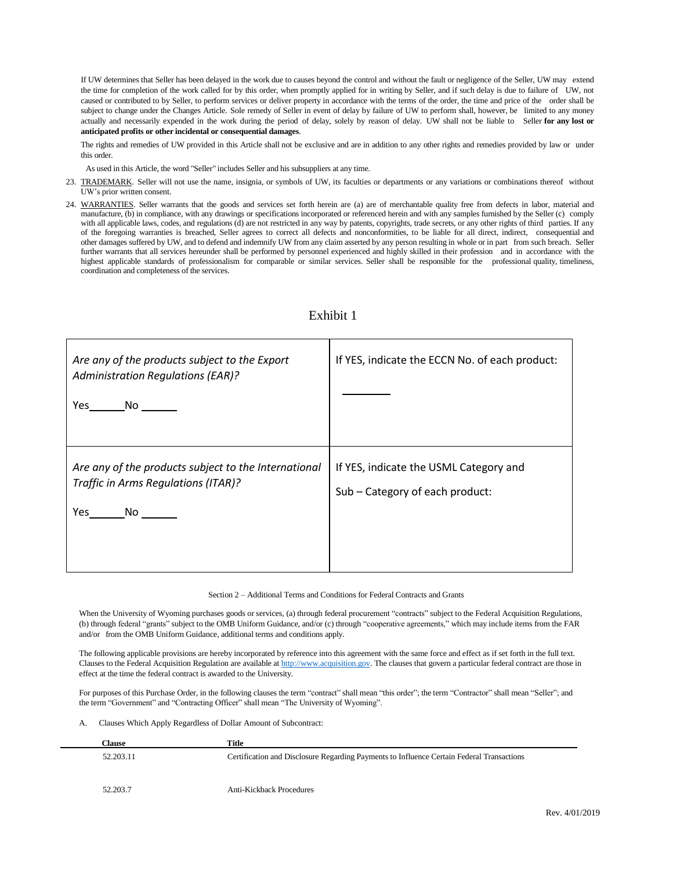If UW determines that Seller has been delayed in the work due to causes beyond the control and without the fault or negligence of the Seller, UW may extend the time for completion of the work called for by this order, when promptly applied for in writing by Seller, and if such delay is due to failure of UW, not caused or contributed to by Seller, to perform services or deliver property in accordance with the terms of the order, the time and price of the order shall be subject to change under the Changes Article. Sole remedy of Seller in event of delay by failure of UW to perform shall, however, be limited to any money actually and necessarily expended in the work during the period of delay, solely by reason of delay. UW shall not be liable to Seller **for any lost or anticipated profits or other incidental or consequential damages**.

The rights and remedies of UW provided in this Article shall not be exclusive and are in addition to any other rights and remedies provided by law or under this order.

As used in this Article, the word "Seller" includes Seller and his subsuppliers at any time.

- 23. TRADEMARK. Seller will not use the name, insignia, or symbols of UW, its faculties or departments or any variations or combinations thereof without UW's prior written consent.
- 24. WARRANTIES. Seller warrants that the goods and services set forth herein are (a) are of merchantable quality free from defects in labor, material and manufacture, (b) in compliance, with any drawings or specifications incorporated or referenced herein and with any samples furnished by the Seller (c) comply with all applicable laws, codes, and regulations (d) are not restricted in any way by patents, copyrights, trade secrets, or any other rights of third parties. If any of the foregoing warranties is breached, Seller agrees to correct all defects and nonconformities, to be liable for all direct, indirect, consequential and other damages suffered by UW, and to defend and indemnify UW from any claim asserted by any person resulting in whole or in part from such breach. Seller further warrants that all services hereunder shall be performed by personnel experienced and highly skilled in their profession and in accordance with the highest applicable standards of professionalism for comparable or similar services. Seller shall be responsible for the professional quality, timeliness, coordination and completeness of the services.

| Are any of the products subject to the Export<br><b>Administration Regulations (EAR)?</b><br>Yes<br>No lot in the North State of the North State of the North State of the North State of the North State of the N | If YES, indicate the ECCN No. of each product:                            |
|--------------------------------------------------------------------------------------------------------------------------------------------------------------------------------------------------------------------|---------------------------------------------------------------------------|
| Are any of the products subject to the International<br>Traffic in Arms Regulations (ITAR)?<br>Yes<br>No l                                                                                                         | If YES, indicate the USML Category and<br>Sub - Category of each product: |

# Exhibit 1

Section 2 – Additional Terms and Conditions for Federal Contracts and Grants

When the University of Wyoming purchases goods or services, (a) through federal procurement "contracts" subject to the Federal Acquisition Regulations, (b) through federal "grants" subject to the OMB Uniform Guidance, and/or (c) through "cooperative agreements," which may include items from the FAR and/or from the OMB Uniform Guidance, additional terms and conditions apply.

The following applicable provisions are hereby incorporated by reference into this agreement with the same force and effect as if set forth in the full text. Clauses to the Federal Acquisition Regulation are available at [http://www.acquisition.gov.](http://www.acquisition.gov/) The clauses that govern a particular federal contract are those in effect at the time the federal contract is awarded to the University.

For purposes of this Purchase Order, in the following clauses the term "contract" shall mean "this order"; the term "Contractor" shall mean "Seller"; and the term "Government" and "Contracting Officer" shall mean "The University of Wyoming".

A. Clauses Which Apply Regardless of Dollar Amount of Subcontract:

| <b>Clause</b> | Title                                                                                     |
|---------------|-------------------------------------------------------------------------------------------|
| 52.203.11     | Certification and Disclosure Regarding Payments to Influence Certain Federal Transactions |
|               |                                                                                           |
| 52,203.7      | <b>Anti-Kickback Procedures</b>                                                           |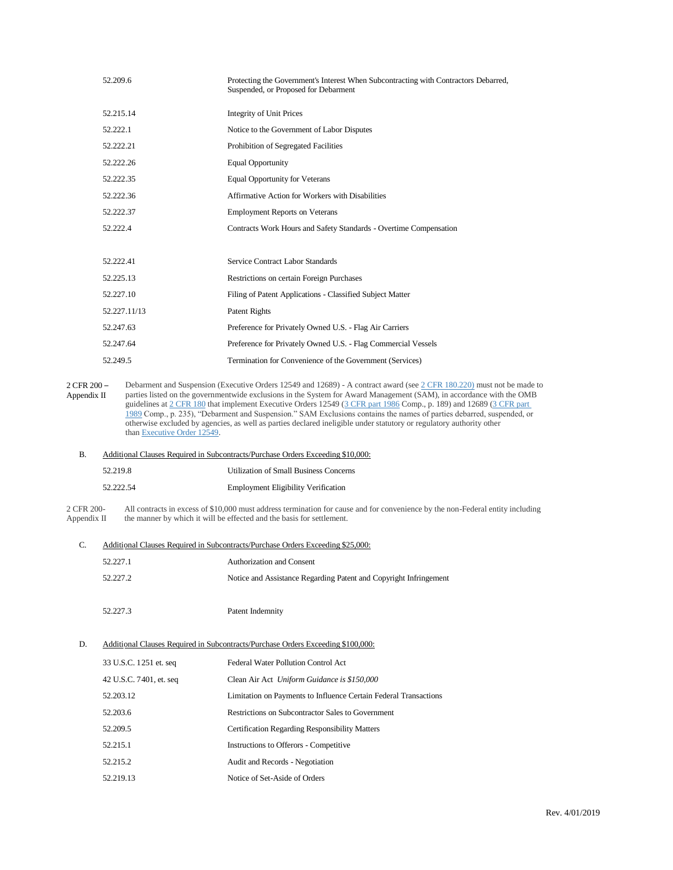|                            | 52.209.6                    | Protecting the Government's Interest When Subcontracting with Contractors Debarred,<br>Suspended, or Proposed for Debarment                                                                                                                                                                                                                                                                                                                                                                                                                                                                                            |
|----------------------------|-----------------------------|------------------------------------------------------------------------------------------------------------------------------------------------------------------------------------------------------------------------------------------------------------------------------------------------------------------------------------------------------------------------------------------------------------------------------------------------------------------------------------------------------------------------------------------------------------------------------------------------------------------------|
|                            | 52.215.14                   | <b>Integrity of Unit Prices</b>                                                                                                                                                                                                                                                                                                                                                                                                                                                                                                                                                                                        |
|                            | 52.222.1                    | Notice to the Government of Labor Disputes                                                                                                                                                                                                                                                                                                                                                                                                                                                                                                                                                                             |
|                            | 52.222.21                   | Prohibition of Segregated Facilities                                                                                                                                                                                                                                                                                                                                                                                                                                                                                                                                                                                   |
|                            | 52.222.26                   | <b>Equal Opportunity</b>                                                                                                                                                                                                                                                                                                                                                                                                                                                                                                                                                                                               |
|                            | 52.222.35                   | <b>Equal Opportunity for Veterans</b>                                                                                                                                                                                                                                                                                                                                                                                                                                                                                                                                                                                  |
|                            | 52.222.36                   | Affirmative Action for Workers with Disabilities                                                                                                                                                                                                                                                                                                                                                                                                                                                                                                                                                                       |
|                            | 52.222.37                   | <b>Employment Reports on Veterans</b>                                                                                                                                                                                                                                                                                                                                                                                                                                                                                                                                                                                  |
|                            | 52.222.4                    | Contracts Work Hours and Safety Standards - Overtime Compensation                                                                                                                                                                                                                                                                                                                                                                                                                                                                                                                                                      |
|                            |                             |                                                                                                                                                                                                                                                                                                                                                                                                                                                                                                                                                                                                                        |
|                            | 52.222.41                   | Service Contract Labor Standards                                                                                                                                                                                                                                                                                                                                                                                                                                                                                                                                                                                       |
|                            | 52.225.13                   | Restrictions on certain Foreign Purchases                                                                                                                                                                                                                                                                                                                                                                                                                                                                                                                                                                              |
|                            | 52.227.10                   | Filing of Patent Applications - Classified Subject Matter                                                                                                                                                                                                                                                                                                                                                                                                                                                                                                                                                              |
|                            | 52.227.11/13                | Patent Rights                                                                                                                                                                                                                                                                                                                                                                                                                                                                                                                                                                                                          |
|                            | 52.247.63                   | Preference for Privately Owned U.S. - Flag Air Carriers                                                                                                                                                                                                                                                                                                                                                                                                                                                                                                                                                                |
|                            | 52.247.64                   | Preference for Privately Owned U.S. - Flag Commercial Vessels                                                                                                                                                                                                                                                                                                                                                                                                                                                                                                                                                          |
|                            | 52.249.5                    | Termination for Convenience of the Government (Services)                                                                                                                                                                                                                                                                                                                                                                                                                                                                                                                                                               |
| 2 CFR 200 -<br>Appendix II | than Executive Order 12549. | Debarment and Suspension (Executive Orders 12549 and 12689) - A contract award (see 2 CFR 180.220) must not be made to<br>parties listed on the governmentwide exclusions in the System for Award Management (SAM), in accordance with the OMB<br>guidelines at 2 CFR 180 that implement Executive Orders 12549 (3 CFR part 1986 Comp., p. 189) and 12689 (3 CFR part<br>1989 Comp., p. 235), "Debarment and Suspension." SAM Exclusions contains the names of parties debarred, suspended, or<br>otherwise excluded by agencies, as well as parties declared ineligible under statutory or regulatory authority other |
| В.                         |                             | Additional Clauses Required in Subcontracts/Purchase Orders Exceeding \$10,000:                                                                                                                                                                                                                                                                                                                                                                                                                                                                                                                                        |

| 52.219.8  | <b>Utilization of Small Business Concerns</b> |
|-----------|-----------------------------------------------|
| 52.222.54 | <b>Employment Eligibility Verification</b>    |

C. Additional Clauses Required in Subcontracts/Purchase Orders Exceeding \$25,000:

2 CFR 200- Appendix II All contracts in excess of \$10,000 must address termination for cause and for convenience by the non-Federal entity including the manner by which it will be effected and the basis for settlement.

|    | 52.227.1                | Authorization and Consent                                                        |
|----|-------------------------|----------------------------------------------------------------------------------|
|    | 52.227.2                | Notice and Assistance Regarding Patent and Copyright Infringement                |
|    |                         |                                                                                  |
|    | 52.227.3                | Patent Indemnity                                                                 |
| D. |                         | Additional Clauses Required in Subcontracts/Purchase Orders Exceeding \$100,000: |
|    | 33 U.S.C. 1251 et. seq  | Federal Water Pollution Control Act                                              |
|    | 42 U.S.C. 7401, et. seq | Clean Air Act Uniform Guidance is \$150,000                                      |
|    | 52.203.12               | Limitation on Payments to Influence Certain Federal Transactions                 |
|    | 52.203.6                | Restrictions on Subcontractor Sales to Government                                |
|    | 52.209.5                | <b>Certification Regarding Responsibility Matters</b>                            |
|    | 52.215.1                | Instructions to Offerors - Competitive                                           |
|    | 52.215.2                | Audit and Records - Negotiation                                                  |
|    | 52.219.13               | Notice of Set-Aside of Orders                                                    |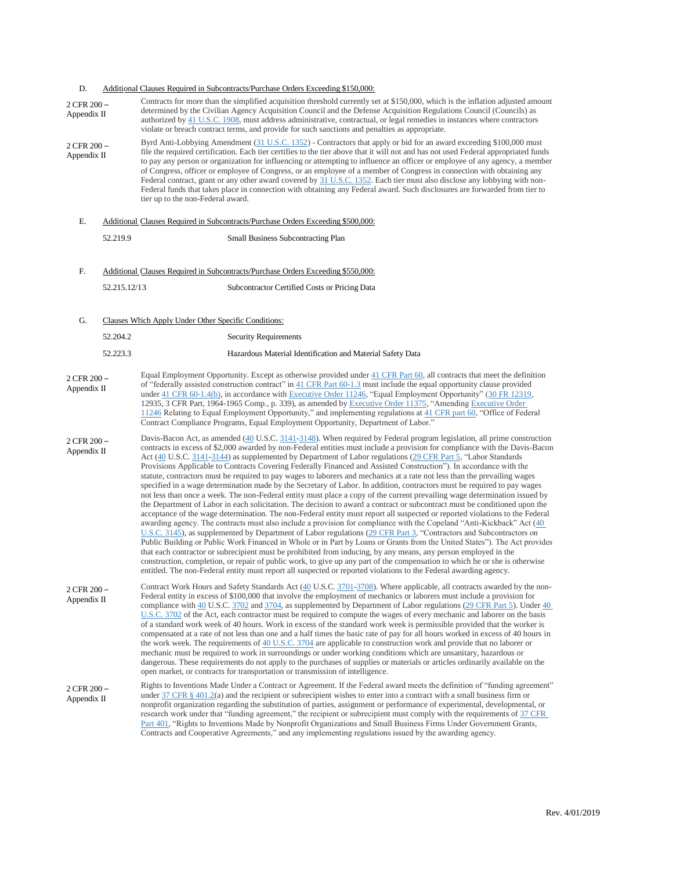### D. Additional Clauses Required in Subcontracts/Purchase Orders Exceeding \$150,000: 2 CFR 200 – Appendix II Contracts for more than the simplified acquisition threshold currently set at \$150,000, which is the inflation adjusted amount determined by the Civilian Agency Acquisition Council and the Defense Acquisition Regulations Council (Councils) as authorized by [41 U.S.C. 1908,](https://www.law.cornell.edu/uscode/text/41/1908) must address administrative, contractual, or legal remedies in instances where contractors violate or breach contract terms, and provide for such sanctions and penalties as appropriate. 2 CFR 200 – Appendix II Byrd Anti-Lobbying Amendment [\(31 U.S.C. 1352\)](https://www.law.cornell.edu/uscode/text/31/1352) - Contractors that apply or bid for an award exceeding \$100,000 must file the required certification. Each tier certifies to the tier above that it will not and has not used Federal appropriated funds to pay any person or organization for influencing or attempting to influence an officer or employee of any agency, a member of Congress, officer or employee of Congress, or an employee of a member of Congress in connection with obtaining any Federal contract, grant or any other award covered by  $\frac{31 \text{ U.S.C.}}{352 \text{ E.}}$  Each tier must also disclose any lobbying with non-Federal funds that takes place in connection with obtaining any Federal award. Such disclosures are forwarded from tier to tier up to the non-Federal award. E. Additional Clauses Required in Subcontracts/Purchase Orders Exceeding \$500,000: 52.219.9 Small Business Subcontracting Plan F. Additional Clauses Required in Subcontracts/Purchase Orders Exceeding \$550,000: 52.215.12/13 Subcontractor Certified Costs or Pricing Data G. Clauses Which Apply Under Other Specific Conditions: 52.204.2 Security Requirements 52.223.3 Hazardous Material Identification and Material Safety Data 2 CFR 200 – Appendix II Equal Employment Opportunity. Except as otherwise provided under [41 CFR Part 60,](https://www.law.cornell.edu/cfr/text/41/part-60) all contracts that meet the definition of "federally assisted construction contract" in [41 CFR Part 60-1.3](https://www.law.cornell.edu/cfr/text/41/part-60-1.3) must include the equal opportunity clause provided under 41 CFR [60-1.4\(b\),](https://www.law.cornell.edu/cfr/text/41/60-1.4) in accordance with Executive Order 11246, "Equal Employment Opportunity" (30 FR 12319, 12935, 3 CFR Part, 1964-1965 Comp., p. 339), as amended by Executive Order 11375, "Amending Executive Order 11246 Relating to Equal Employment Opportunity," and implementing regulations at [41 CFR part 60,](https://www.law.cornell.edu/cfr/text/41/part-60) "Office of Federal Contract Compliance Programs, Equal Employment Opportunity, Department of Labor." 2 CFR 200 – Appendix II Davis-Bacon Act, as amended [\(40](https://www.law.cornell.edu/uscode/text/40/) U.S.C. [3141](https://www.law.cornell.edu/uscode/text/40/3141)[-3148\).](https://www.law.cornell.edu/uscode/text/40/3148) When required by Federal program legislation, all prime construction contracts in excess of \$2,000 awarded by non-Federal entities must include a provision for compliance with the Davis-Bacon Act [\(40](https://www.law.cornell.edu/uscode/text/40/) U.S.C. [3141](https://www.law.cornell.edu/uscode/text/40/3141)[-3144\)](https://www.law.cornell.edu/uscode/text/40/3144) as supplemented by Department of Labor regulations [\(29 CFR Part 5,](https://www.law.cornell.edu/cfr/text/29/part-5) "Labor Standards Provisions Applicable to Contracts Covering Federally Financed and Assisted Construction"). In accordance with the statute, contractors must be required to pay wages to laborers and mechanics at a rate not less than the prevailing wages specified in a wage determination made by the Secretary of Labor. In addition, contractors must be required to pay wages not less than once a week. The non-Federal entity must place a copy of the current prevailing wage determination issued by the Department of Labor in each solicitation. The decision to award a contract or subcontract must be conditioned upon the acceptance of the wage determination. The non-Federal entity must report all suspected or reported violations to the Federal awarding agency. The contracts must also include a provision for compliance with the Copeland "Anti-Kickback" Act [\(40](https://www.law.cornell.edu/uscode/text/40/3145)  [U.S.C. 3145\)](https://www.law.cornell.edu/uscode/text/40/3145), as supplemented by Department of Labor regulations [\(29 CFR Part 3,](https://www.law.cornell.edu/cfr/text/29/part-3) "Contractors and Subcontractors on Public Building or Public Work Financed in Whole or in Part by Loans or Grants from the United States"). The Act provides that each contractor or subrecipient must be prohibited from inducing, by any means, any person employed in the construction, completion, or repair of public work, to give up any part of the compensation to which he or she is otherwise entitled. The non-Federal entity must report all suspected or reported violations to the Federal awarding agency. 2 CFR 200 – Appendix II Contract Work Hours and Safety Standards Act [\(40](https://www.law.cornell.edu/uscode/text/40/) U.S.C. [3701](https://www.law.cornell.edu/uscode/text/40/3701)[-3708\)](https://www.law.cornell.edu/uscode/text/40/3708). Where applicable, all contracts awarded by the non-Federal entity in excess of \$100,000 that involve the employment of mechanics or laborers must include a provision for compliance with [40](https://www.law.cornell.edu/uscode/text/40/) U.S.C. [3702](https://www.law.cornell.edu/uscode/text/40/3702) and [3704,](https://www.law.cornell.edu/uscode/text/40/3704) as supplemented by Department of Labor regulations [\(29 CFR Part 5\)](https://www.law.cornell.edu/cfr/text/29/part-5). Under 40 [U.S.C. 3702](https://www.law.cornell.edu/uscode/text/40/3702) of the Act, each contractor must be required to compute the wages of every mechanic and laborer on the basis of a standard work week of 40 hours. Work in excess of the standard work week is permissible provided that the worker is compensated at a rate of not less than one and a half times the basic rate of pay for all hours worked in excess of 40 hours in the work week. The requirements of [40 U.S.C. 3704](https://www.law.cornell.edu/uscode/text/40/3704) are applicable to construction work and provide that no laborer or mechanic must be required to work in surroundings or under working conditions which are unsanitary, hazardous or dangerous. These requirements do not apply to the purchases of supplies or materials or articles ordinarily available on the open market, or contracts for transportation or transmission of intelligence. 2 CFR 200 – Rights to Inventions Made Under a Contract or Agreement. If the Federal award meets the definition of "funding agreement"

Appendix II under  $37 \text{ CFR } \frac{8}{12}$  and the recipient or subrecipient wishes to enter into a contract with a small business firm or nonprofit organization regarding the substitution of parties, assignment or performance of experimental, developmental, or research work under that "funding agreement," the recipient or subrecipient must comply with the requirements of [37 CFR](https://www.law.cornell.edu/cfr/text/37/part-401)  [Part 401,](https://www.law.cornell.edu/cfr/text/37/part-401) "Rights to Inventions Made by Nonprofit Organizations and Small Business Firms Under Government Grants, Contracts and Cooperative Agreements," and any implementing regulations issued by the awarding agency.